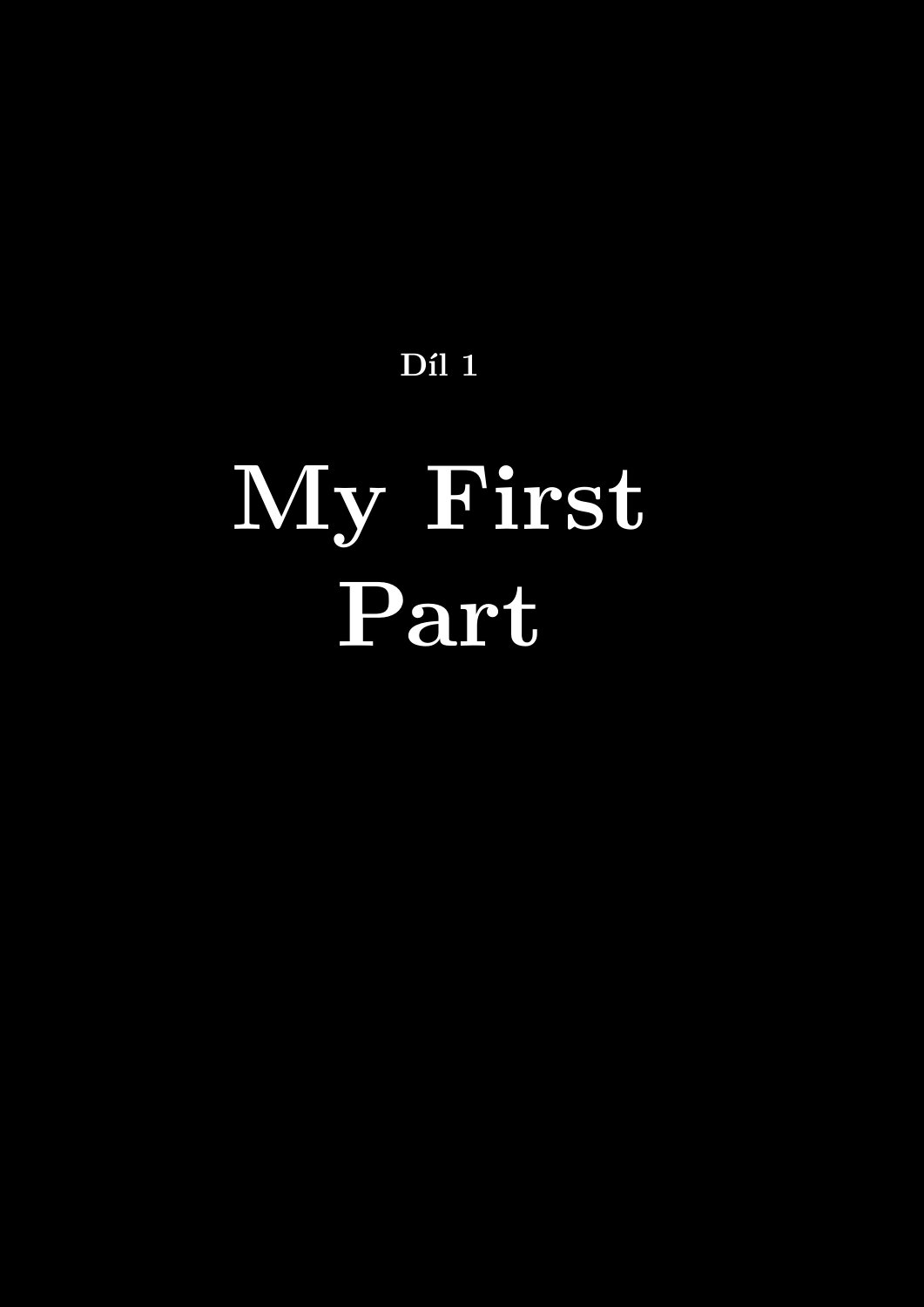## **Díl 1**

## **My First Part**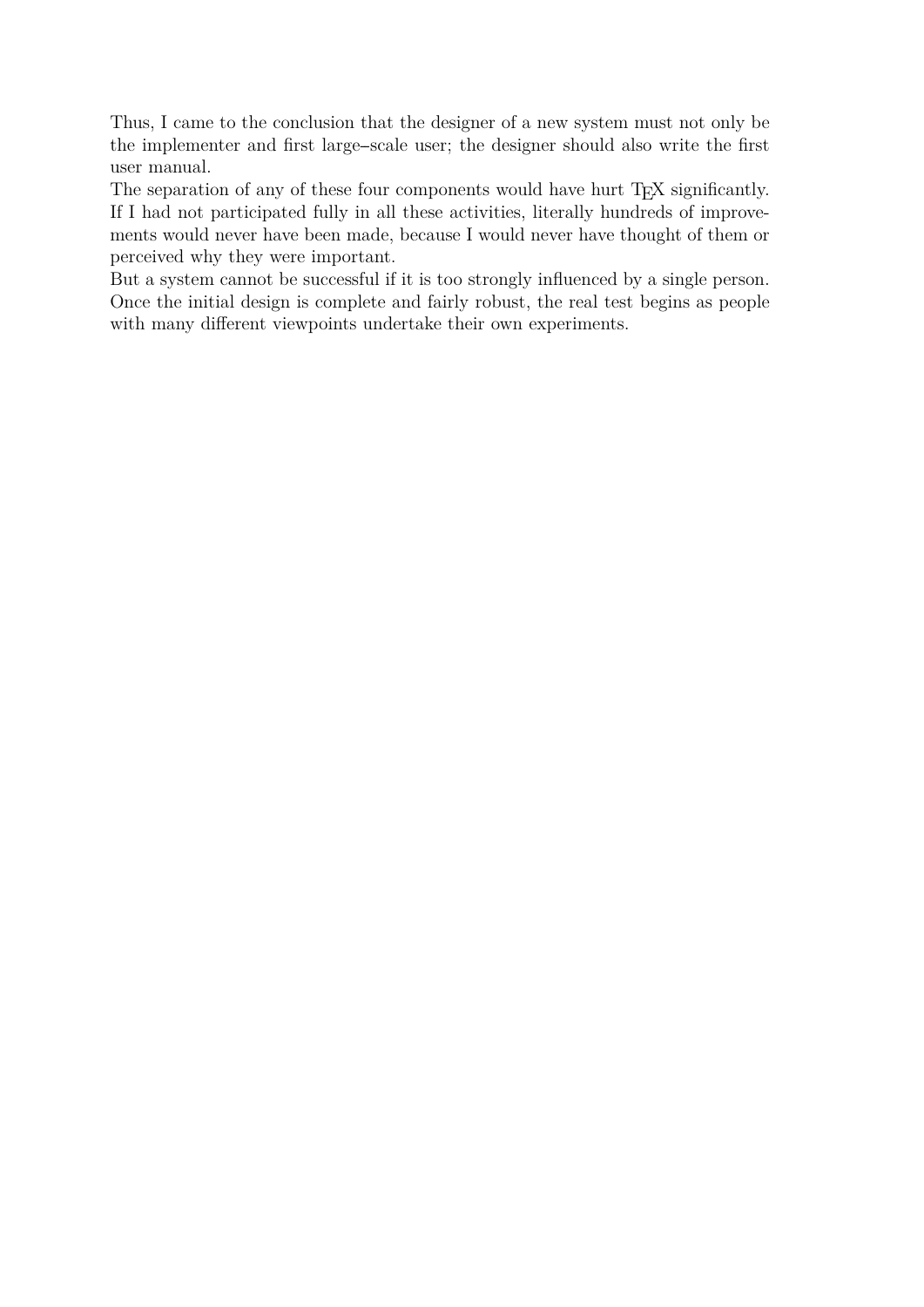Thus, I came to the conclusion that the designer of a new system must not only be the implementer and first large--scale user; the designer should also write the first user manual.

The separation of any of these four components would have hurt T<sub>E</sub>X significantly. If I had not participated fully in all these activities, literally hundreds of improvements would never have been made, because I would never have thought of them or perceived why they were important.

But a system cannot be successful if it is too strongly influenced by a single person. Once the initial design is complete and fairly robust, the real test begins as people with many different viewpoints undertake their own experiments.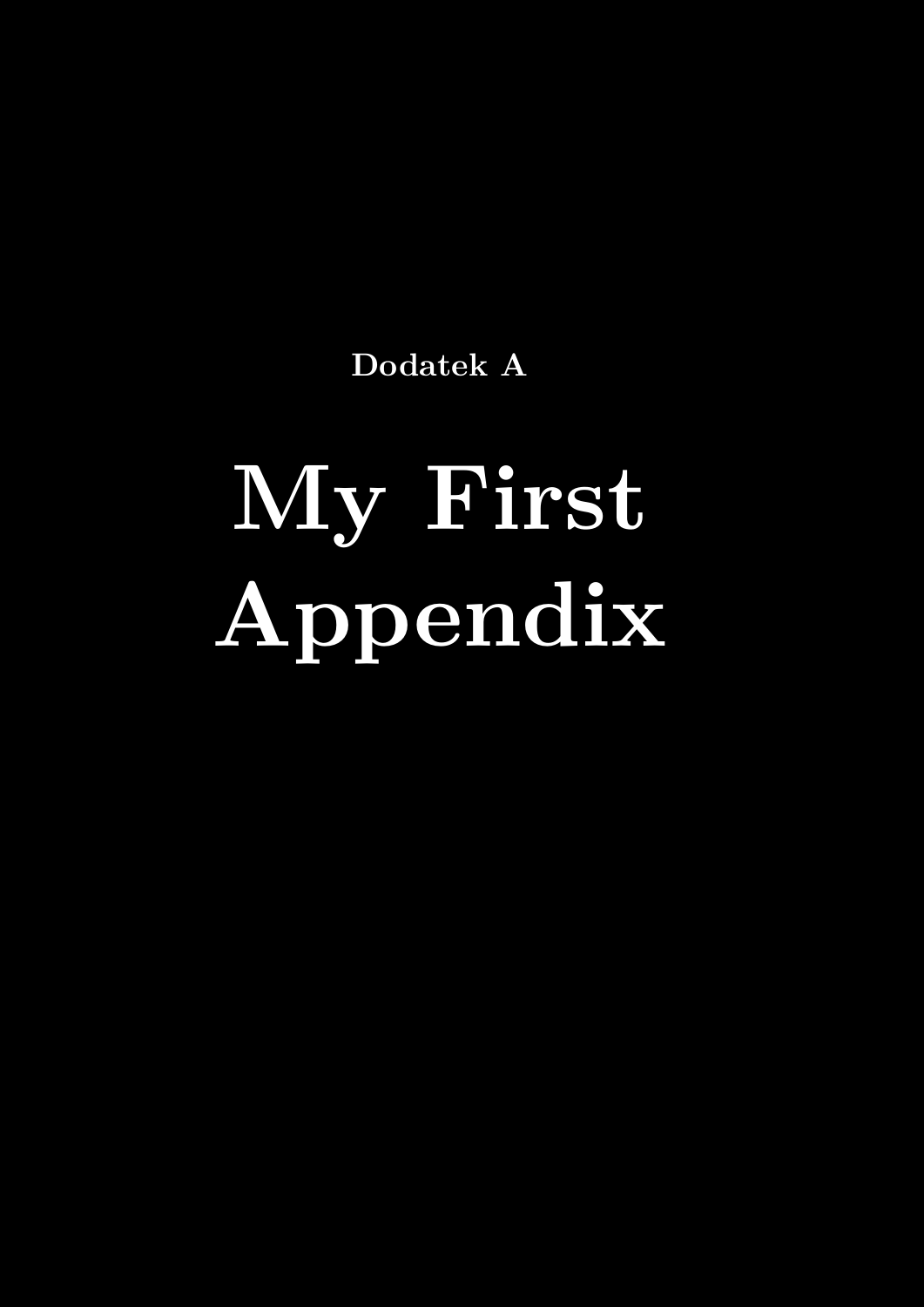**Dodatek A**

## **My First Appendix**